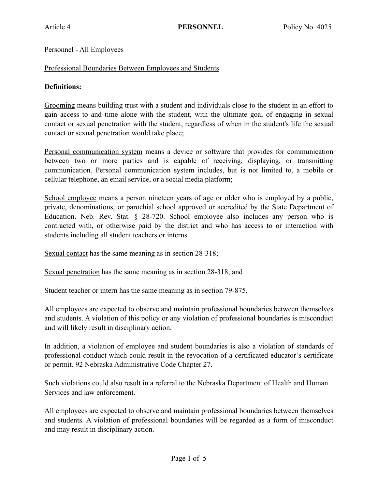### Personnel - All Employees

### Professional Boundaries Between Employees and Students

## **Definitions:**

Grooming means building trust with a student and individuals close to the student in an effort to gain access to and time alone with the student, with the ultimate goal of engaging in sexual contact or sexual penetration with the student, regardless of when in the student's life the sexual contact or sexual penetration would take place;

Personal communication system means a device or software that provides for communication between two or more parties and is capable of receiving, displaying, or transmitting communication. Personal communication system includes, but is not limited to, a mobile or cellular telephone, an email service, or a social media platform;

School employee means a person nineteen years of age or older who is employed by a public, private, denominations, or parochial school approved or accredited by the State Department of Education. Neb. Rev. Stat. § 28-720. School employee also includes any person who is contracted with, or otherwise paid by the district and who has access to or interaction with students including all student teachers or interns.

Sexual contact has the same meaning as in section 28-318;

Sexual penetration has the same meaning as in section 28-318; and

Student teacher or intern has the same meaning as in section 79-875.

All employees are expected to observe and maintain professional boundaries between themselves and students. A violation of this policy or any violation of professional boundaries is misconduct and will likely result in disciplinary action.

In addition, a violation of employee and student boundaries is also a violation of standards of professional conduct which could result in the revocation of a certificated educator's certificate or permit. 92 Nebraska Administrative Code Chapter 27.

Such violations could also result in a referral to the Nebraska Department of Health and Human Services and law enforcement.

All employees are expected to observe and maintain professional boundaries between themselves and students. A violation of professional boundaries will be regarded as a form of misconduct and may result in disciplinary action.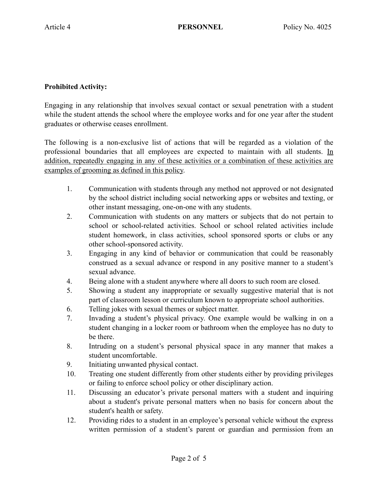# **Prohibited Activity:**

Engaging in any relationship that involves sexual contact or sexual penetration with a student while the student attends the school where the employee works and for one year after the student graduates or otherwise ceases enrollment.

The following is a non-exclusive list of actions that will be regarded as a violation of the professional boundaries that all employees are expected to maintain with all students. In addition, repeatedly engaging in any of these activities or a combination of these activities are examples of grooming as defined in this policy.

- 1. Communication with students through any method not approved or not designated by the school district including social networking apps or websites and texting, or other instant messaging, one-on-one with any students.
- 2. Communication with students on any matters or subjects that do not pertain to school or school-related activities. School or school related activities include student homework, in class activities, school sponsored sports or clubs or any other school-sponsored activity.
- 3. Engaging in any kind of behavior or communication that could be reasonably construed as a sexual advance or respond in any positive manner to a student's sexual advance.
- 4. Being alone with a student anywhere where all doors to such room are closed.
- 5. Showing a student any inappropriate or sexually suggestive material that is not part of classroom lesson or curriculum known to appropriate school authorities.
- 6. Telling jokes with sexual themes or subject matter.
- 7. Invading a student's physical privacy. One example would be walking in on a student changing in a locker room or bathroom when the employee has no duty to be there.
- 8. Intruding on a student's personal physical space in any manner that makes a student uncomfortable.
- 9. Initiating unwanted physical contact.
- 10. Treating one student differently from other students either by providing privileges or failing to enforce school policy or other disciplinary action.
- 11. Discussing an educator's private personal matters with a student and inquiring about a student's private personal matters when no basis for concern about the student's health or safety.
- 12. Providing rides to a student in an employee's personal vehicle without the express written permission of a student's parent or guardian and permission from an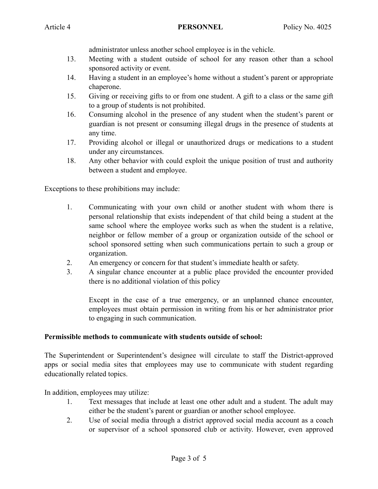administrator unless another school employee is in the vehicle.

- 13. Meeting with a student outside of school for any reason other than a school sponsored activity or event.
- 14. Having a student in an employee's home without a student's parent or appropriate chaperone.
- 15. Giving or receiving gifts to or from one student. A gift to a class or the same gift to a group of students is not prohibited.
- 16. Consuming alcohol in the presence of any student when the student's parent or guardian is not present or consuming illegal drugs in the presence of students at any time.
- 17. Providing alcohol or illegal or unauthorized drugs or medications to a student under any circumstances.
- 18. Any other behavior with could exploit the unique position of trust and authority between a student and employee.

Exceptions to these prohibitions may include:

- 1. Communicating with your own child or another student with whom there is personal relationship that exists independent of that child being a student at the same school where the employee works such as when the student is a relative, neighbor or fellow member of a group or organization outside of the school or school sponsored setting when such communications pertain to such a group or organization.
- 2. An emergency or concern for that student's immediate health or safety.
- 3. A singular chance encounter at a public place provided the encounter provided there is no additional violation of this policy

Except in the case of a true emergency, or an unplanned chance encounter, employees must obtain permission in writing from his or her administrator prior to engaging in such communication.

### **Permissible methods to communicate with students outside of school:**

The Superintendent or Superintendent's designee will circulate to staff the District-approved apps or social media sites that employees may use to communicate with student regarding educationally related topics.

In addition, employees may utilize:

- 1. Text messages that include at least one other adult and a student. The adult may either be the student's parent or guardian or another school employee.
- 2. Use of social media through a district approved social media account as a coach or supervisor of a school sponsored club or activity. However, even approved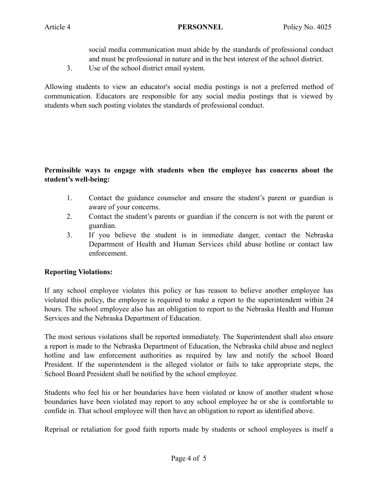social media communication must abide by the standards of professional conduct and must be professional in nature and in the best interest of the school district.

3. Use of the school district email system.

Allowing students to view an educator's social media postings is not a preferred method of communication. Educators are responsible for any social media postings that is viewed by students when such posting violates the standards of professional conduct.

# **Permissible ways to engage with students when the employee has concerns about the student's well-being:**

- 1. Contact the guidance counselor and ensure the student's parent or guardian is aware of your concerns.
- 2. Contact the student's parents or guardian if the concern is not with the parent or guardian.
- 3. If you believe the student is in immediate danger, contact the Nebraska Department of Health and Human Services child abuse hotline or contact law enforcement.

### **Reporting Violations:**

If any school employee violates this policy or has reason to believe another employee has violated this policy, the employee is required to make a report to the superintendent within 24 hours. The school employee also has an obligation to report to the Nebraska Health and Human Services and the Nebraska Department of Education.

The most serious violations shall be reported immediately. The Superintendent shall also ensure a report is made to the Nebraska Department of Education, the Nebraska child abuse and neglect hotline and law enforcement authorities as required by law and notify the school Board President. If the superintendent is the alleged violator or fails to take appropriate steps, the School Board President shall be notified by the school employee.

Students who feel his or her boundaries have been violated or know of another student whose boundaries have been violated may report to any school employee he or she is comfortable to confide in. That school employee will then have an obligation to report as identified above.

Reprisal or retaliation for good faith reports made by students or school employees is itself a